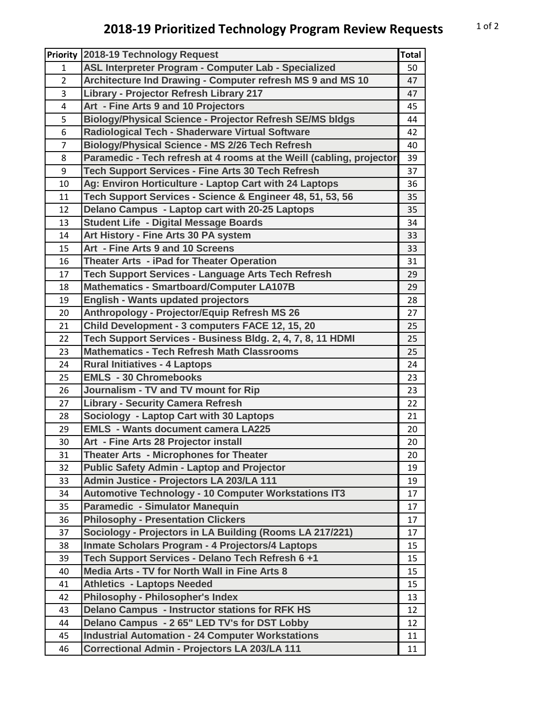## **2018-19 Prioritized Technology Program Review Requests** 10f2

| <b>Priority</b> | 2018-19 Technology Request                                           | <b>Total</b> |
|-----------------|----------------------------------------------------------------------|--------------|
| $\mathbf{1}$    | ASL Interpreter Program - Computer Lab - Specialized                 | 50           |
| $\overline{2}$  | Architecture Ind Drawing - Computer refresh MS 9 and MS 10           | 47           |
| 3               | <b>Library - Projector Refresh Library 217</b>                       | 47           |
| 4               | Art - Fine Arts 9 and 10 Projectors                                  | 45           |
| 5               | <b>Biology/Physical Science - Projector Refresh SE/MS bldgs</b>      | 44           |
| 6               | Radiological Tech - Shaderware Virtual Software                      | 42           |
| 7               | <b>Biology/Physical Science - MS 2/26 Tech Refresh</b>               | 40           |
| 8               | Paramedic - Tech refresh at 4 rooms at the Weill (cabling, projector | 39           |
| 9               | <b>Tech Support Services - Fine Arts 30 Tech Refresh</b>             | 37           |
| 10              | Ag: Environ Horticulture - Laptop Cart with 24 Laptops               | 36           |
| 11              | Tech Support Services - Science & Engineer 48, 51, 53, 56            | 35           |
| 12              | Delano Campus - Laptop cart with 20-25 Laptops                       | 35           |
| 13              | <b>Student Life - Digital Message Boards</b>                         | 34           |
| 14              | Art History - Fine Arts 30 PA system                                 | 33           |
| 15              | Art - Fine Arts 9 and 10 Screens                                     | 33           |
| 16              | Theater Arts - iPad for Theater Operation                            | 31           |
| 17              | Tech Support Services - Language Arts Tech Refresh                   | 29           |
| 18              | <b>Mathematics - Smartboard/Computer LA107B</b>                      | 29           |
| 19              | <b>English - Wants updated projectors</b>                            | 28           |
| 20              | Anthropology - Projector/Equip Refresh MS 26                         | 27           |
| 21              | Child Development - 3 computers FACE 12, 15, 20                      | 25           |
| 22              | Tech Support Services - Business Bldg. 2, 4, 7, 8, 11 HDMI           | 25           |
| 23              | <b>Mathematics - Tech Refresh Math Classrooms</b>                    | 25           |
| 24              | <b>Rural Initiatives - 4 Laptops</b>                                 | 24           |
| 25              | <b>EMLS - 30 Chromebooks</b>                                         | 23           |
| 26              | Journalism - TV and TV mount for Rip                                 | 23           |
| 27              | <b>Library - Security Camera Refresh</b>                             | 22           |
| 28              | Sociology - Laptop Cart with 30 Laptops                              | 21           |
| 29              | <b>EMLS - Wants document camera LA225</b>                            | 20           |
| 30              | Art - Fine Arts 28 Projector install                                 | 20           |
| 31              | Theater Arts - Microphones for Theater                               | 20           |
| 32              | <b>Public Safety Admin - Laptop and Projector</b>                    | 19           |
| 33              | Admin Justice - Projectors LA 203/LA 111                             | 19           |
| 34              | <b>Automotive Technology - 10 Computer Workstations IT3</b>          | 17           |
| 35              | Paramedic - Simulator Manequin                                       | 17           |
| 36              | <b>Philosophy - Presentation Clickers</b>                            | 17           |
| 37              | Sociology - Projectors in LA Building (Rooms LA 217/221)             | 17           |
| 38              | Inmate Scholars Program - 4 Projectors/4 Laptops                     | 15           |
| 39              | Tech Support Services - Delano Tech Refresh 6 +1                     | 15           |
| 40              | Media Arts - TV for North Wall in Fine Arts 8                        | 15           |
| 41              | <b>Athletics - Laptops Needed</b>                                    |              |
|                 | <b>Philosophy - Philosopher's Index</b>                              | 15           |
| 42              |                                                                      | 13           |
| 43              | <b>Delano Campus - Instructor stations for RFK HS</b>                | 12           |
| 44              | Delano Campus - 2 65" LED TV's for DST Lobby                         | 12           |
| 45              | <b>Industrial Automation - 24 Computer Workstations</b>              | 11           |
| 46              | Correctional Admin - Projectors LA 203/LA 111                        | 11           |